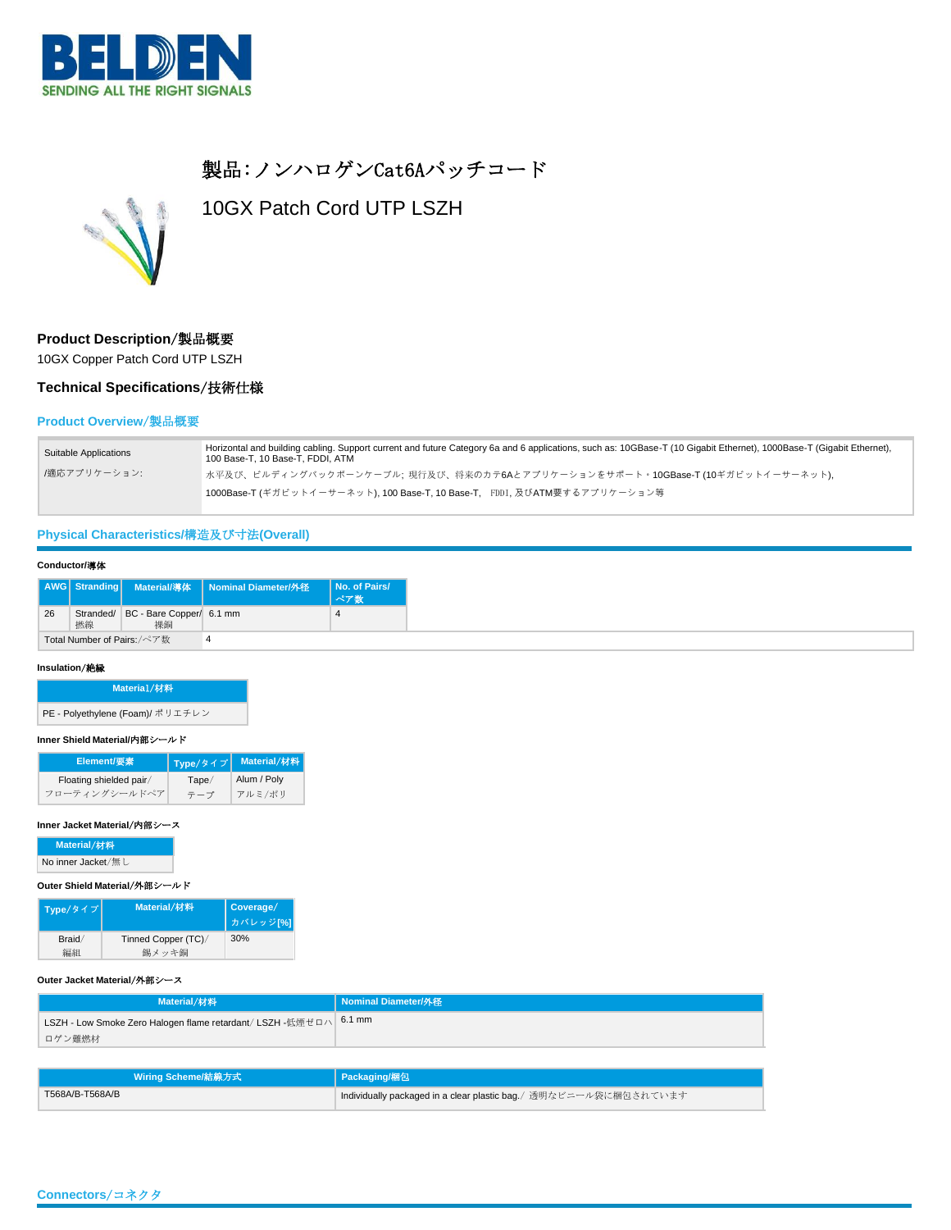

# 製品:ノンハロゲンCat6Aパッチコード



10GX Patch Cord UTP LSZH

### **Product Description**/製品概要

10GX Copper Patch Cord UTP LSZH

## **Technical Specifications**/技術仕様

### **Product Overview**/製品概要

| Suitable Applications | Horizontal and building cabling. Support current and future Category 6a and 6 applications, such as: 10GBase-T (10 Gigabit Ethernet), 1000Base-T (Gigabit Ethernet),<br>100 Base-T, 10 Base-T, FDDI, ATM |
|-----------------------|----------------------------------------------------------------------------------------------------------------------------------------------------------------------------------------------------------|
| /適応アプリケーション:          | 「水平及び、ビルディングバックボーンケーブル; 現行及び、将来のカテ6Aとアプリケーションをサポート。10GBase-T (10ギガビットイーサーネット),                                                                                                                           |
|                       | 1000Base-T (ギガビットイーサーネット), 100 Base-T, 10 Base-T, FDDI, 及びATM要するアプリケーション等                                                                                                                                |

## **Physical Characteristics/**構造及び寸法**(Overall)**

### **Conductor/**導体

|    |    |                                    | AWG Stranding Material/導体 Nominal Diameter/外径 No. of Pairs/ |  |
|----|----|------------------------------------|-------------------------------------------------------------|--|
| 26 | 撚線 | Stranded/ BC - Bare Copper/ 6.1 mm |                                                             |  |
|    |    | Total Number of Pairs:/ペア数         |                                                             |  |

### **Insulation**/絶縁

| Materia1/材料                      |  |
|----------------------------------|--|
| PE - Polyethylene (Foam)/ ポリエチレン |  |

### **Inner Shield Material/**内部シールド

| Element/要素              | Type/タイプ | Material/材料 |
|-------------------------|----------|-------------|
| Floating shielded pair/ | Tape/    | Alum / Poly |
| フローティングシールドペア           | テープ      | アルミ/ポリ      |

#### **Inner Jacket Material**/内部シース

**Material**/材料

No inner Jacket/無し

#### **Outer Shield Material**/外部シールド

| Type/タイプ | <b>Material/材料</b>  | Coverage/<br>カバレッジ[%] |
|----------|---------------------|-----------------------|
| Braid/   | Tinned Copper (TC)/ | 30%                   |
|          | 錫メッキ銅               |                       |

#### **Outer Jacket Material**/外部シース

| LSZH - Low Smoke Zero Halogen flame retardant/ LSZH -低煙ゼロハ 6.1 mm |  |
|-------------------------------------------------------------------|--|
| ロゲン難燃材                                                            |  |

| Wiring Scheme/結線方式 | Packaging/梱包                                                     |
|--------------------|------------------------------------------------------------------|
| T568A/B-T568A/B    | Individually packaged in a clear plastic bag./ 透明なビニール袋に梱包されています |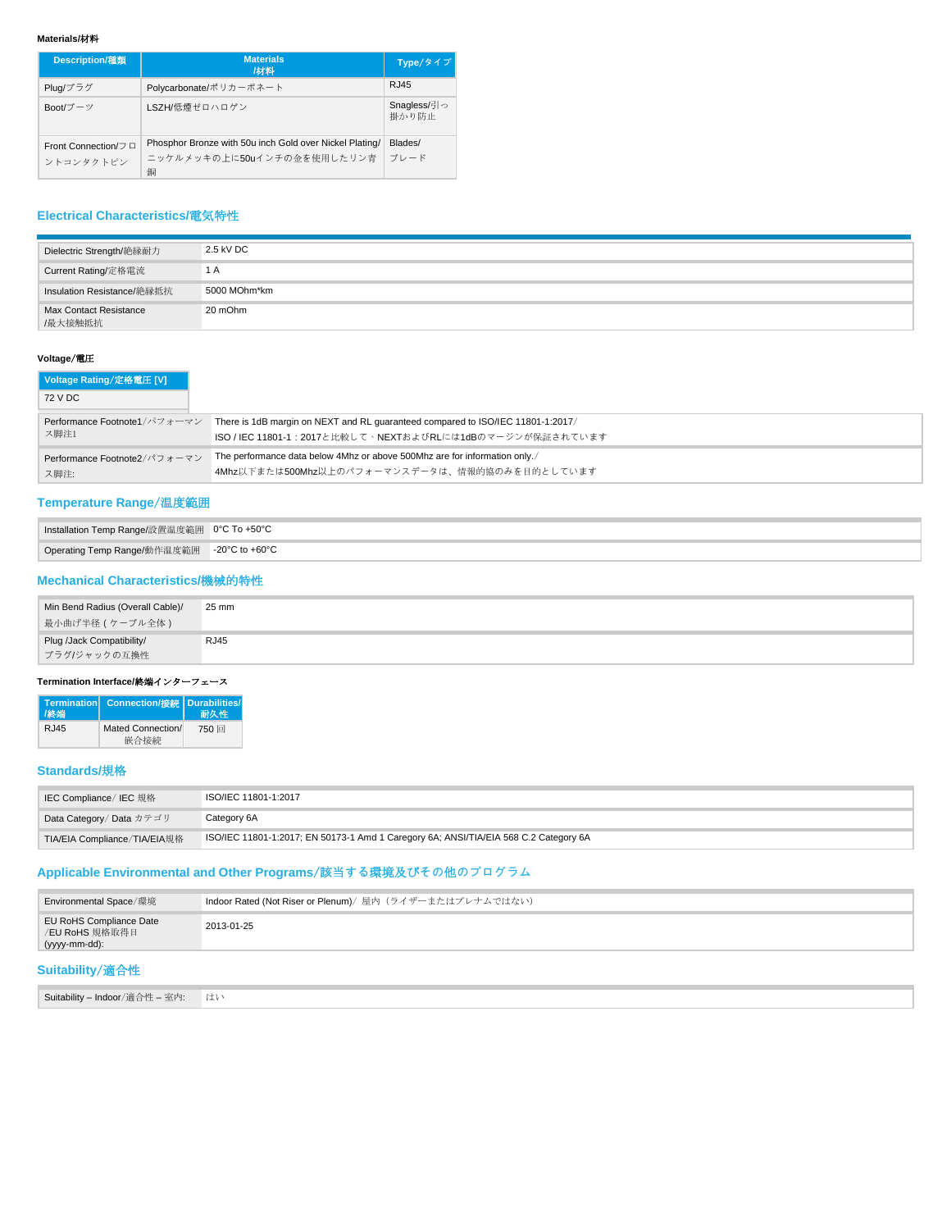### **Materials/**材料

| <b>Description/種類</b> | <b>Materials</b><br>/材料                                 | Type/タイプ             |
|-----------------------|---------------------------------------------------------|----------------------|
| Plug/プラグ              | Polycarbonate/ポリカーボネート                                  | RJ45                 |
| Boot/ブーツ              | LSZH/低煙ゼロハロゲン                                           | Snagless/引っ<br>掛かり防止 |
| Front Connection/フロ   | Phosphor Bronze with 50u inch Gold over Nickel Plating/ | Blades/              |
| ントコンタクトピン             | ニッケルメッキの上に50uインチの金を使用したリン青<br>銅                         | ブレード                 |

## **Electrical Characteristics/**電気特性

| Dielectric Strength/絶縁耐力          | 2.5 kV DC    |
|-----------------------------------|--------------|
| Current Rating/定格電流               | 1 A          |
| Insulation Resistance/絶縁抵抗        | 5000 MOhm*km |
| Max Contact Resistance<br>/最大接触抵抗 | 20 mOhm      |

## **Voltage**/電圧

| Voltage Rating/定格電圧 [V]      |                                                                                 |
|------------------------------|---------------------------------------------------------------------------------|
| 72 V DC                      |                                                                                 |
| Performance Footnote1/パフォーマン | There is 1dB margin on NEXT and RL guaranteed compared to ISO/IEC 11801-1:2017/ |
| ス脚注1                         | ISO / IEC 11801-1: 2017と比較して、NEXTおよびRLには1dBのマージンが保証されています                       |
| Performance Footnote2/パフォーマン | The performance data below 4Mhz or above 500Mhz are for information only.       |
| ス脚注:                         | 4Mhz以下または500Mhz以上のパフォーマンスデータは、情報的協のみを目的としています                                   |

## **Temperature Range**/温度範囲

| Installation Temp Range/設置温度範囲 0°C To +50°C |  |
|---------------------------------------------|--|
| Operating Temp Range/動作温度範囲 -20°C to +60°C  |  |

## **Mechanical Characteristics/**機械的特性

| Min Bend Radius (Overall Cable)/ | 25 mm |
|----------------------------------|-------|
| 最小曲げ半径 ( ケーブル全体 )                |       |
| Plug /Jack Compatibility/        | RJ45  |
| プラグ/ジャックの互換性                     |       |

### **Termination Interface/**終端インターフェース

| /終端   | Termination Connection/接続 Durabilities/ | 耐久性  |
|-------|-----------------------------------------|------|
| R.J45 | Mated Connection/                       | 750回 |
|       | 嵌合接続                                    |      |

## **Standards/**規格

| IEC Compliance/IEC 規格        | ISO/IEC 11801-1:2017                                                                 |
|------------------------------|--------------------------------------------------------------------------------------|
| Data Category/Data カテゴリ      | Category 6A                                                                          |
| TIA/EIA Compliance/TIA/EIA規格 | ISO/IEC 11801-1:2017; EN 50173-1 Amd 1 Caregory 6A; ANSI/TIA/EIA 568 C.2 Category 6A |

## **Applicable Environmental and Other Programs**/該当**する**環境及び**その**他**のプログラム**

| Environmental Space/環境                                     | Indoor Rated (Not Riser or Plenum)/屋内 (ライザーまたはプレナムではない) |  |  |  |  |
|------------------------------------------------------------|---------------------------------------------------------|--|--|--|--|
| EU RoHS Compliance Date<br>/EU RoHS 規格取得日<br>(yyyy-mm-dd): | 2013-01-25                                              |  |  |  |  |
| Suitability/適合性                                            |                                                         |  |  |  |  |
| Suitability - Indoor/適合性 - 室内:                             | はい                                                      |  |  |  |  |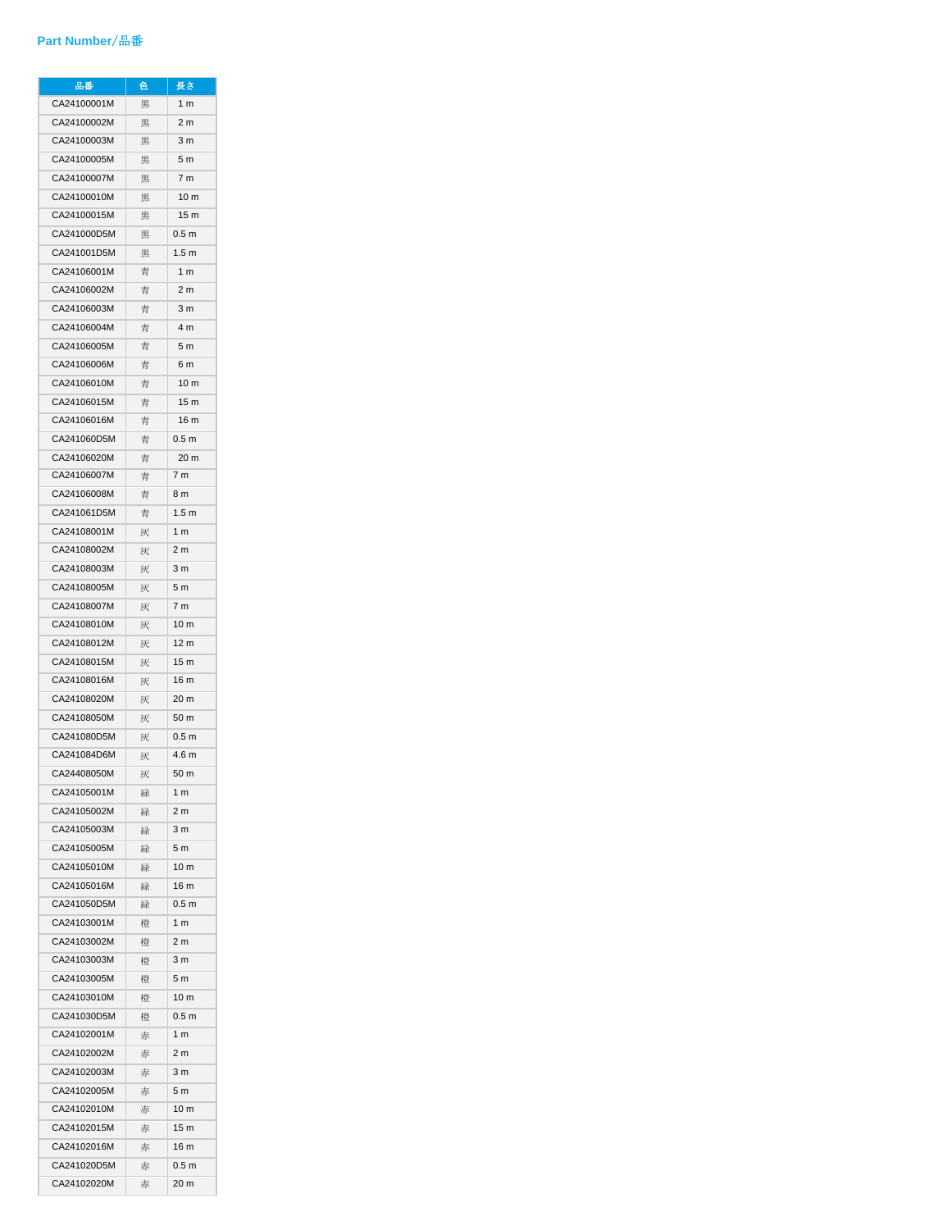## **Part Number**/品番

| 品番          | 色 | 長さ               |
|-------------|---|------------------|
| CA24100001M | 黒 | 1 <sub>m</sub>   |
| CA24100002M | 黒 | 2 <sub>m</sub>   |
| CA24100003M | 黒 | 3 m              |
| CA24100005M | 黒 | 5 <sub>m</sub>   |
| CA24100007M | 黒 | 7 m              |
| CA24100010M | 黒 | 10 <sub>m</sub>  |
| CA24100015M | 黒 | 15 <sub>m</sub>  |
| CA241000D5M | 黒 | 0.5 <sub>m</sub> |
| CA241001D5M | 黒 | 1.5 <sub>m</sub> |
| CA24106001M | 青 | 1 <sub>m</sub>   |
| CA24106002M | 青 | 2 <sub>m</sub>   |
| CA24106003M | 青 | 3 m              |
| CA24106004M | 青 | 4 m              |
| CA24106005M | 青 | 5 m              |
| CA24106006M | 青 | 6 m              |
| CA24106010M | 青 | 10 <sub>m</sub>  |
| CA24106015M | 青 | 15 <sub>m</sub>  |
| CA24106016M | 青 | 16 m             |
| CA241060D5M | 青 | 0.5 <sub>m</sub> |
| CA24106020M | 青 | 20 m             |
| CA24106007M | 青 | 7 m              |
| CA24106008M |   | 8 m              |
| CA241061D5M | 青 | 1.5 <sub>m</sub> |
|             | 青 | 1 <sub>m</sub>   |
| CA24108001M | 灰 |                  |
| CA24108002M | 灰 | 2 m              |
| CA24108003M | 灰 | 3 m              |
| CA24108005M | 灰 | 5 m              |
| CA24108007M | 灰 | 7 m              |
| CA24108010M | 灰 | 10 <sub>m</sub>  |
| CA24108012M | 灰 | 12 <sub>m</sub>  |
| CA24108015M | 灰 | 15 <sub>m</sub>  |
| CA24108016M | 灰 | 16 m             |
| CA24108020M | 灰 | 20 m             |
| CA24108050M | 灰 | 50 m             |
| CA241080D5M | 灰 | 0.5 <sub>m</sub> |
| CA241084D6M | 灰 | 4.6 <sub>m</sub> |
| CA24408050M | 灰 | 50 m             |
| CA24105001M | 緑 | 1 <sub>m</sub>   |
| CA24105002M | 緑 | 2 <sub>m</sub>   |
| CA24105003M | 緑 | 3 <sub>m</sub>   |
| CA24105005M | 緑 | 5 <sub>m</sub>   |
| CA24105010M | 緑 | 10 <sub>m</sub>  |
| CA24105016M | 緑 | 16 m             |
| CA241050D5M | 緑 | 0.5 <sub>m</sub> |
| CA24103001M | 橙 | 1 <sub>m</sub>   |
| CA24103002M | 橙 | 2 <sub>m</sub>   |
| CA24103003M | 橙 | 3 <sub>m</sub>   |
| CA24103005M | 橙 | 5 m              |
| CA24103010M | 橙 | 10 <sub>m</sub>  |
| CA241030D5M | 橙 | 0.5 <sub>m</sub> |
| CA24102001M | 赤 | 1 <sub>m</sub>   |
| CA24102002M | 赤 | 2 <sub>m</sub>   |
| CA24102003M | 赤 | 3 <sub>m</sub>   |
| CA24102005M | 赤 | 5 m              |
| CA24102010M | 赤 | 10 <sub>m</sub>  |
| CA24102015M | 赤 | 15 <sub>m</sub>  |
| CA24102016M | 赤 | 16 m             |
| CA241020D5M | 赤 | 0.5 <sub>m</sub> |
| CA24102020M | 赤 | 20 m             |
|             |   |                  |